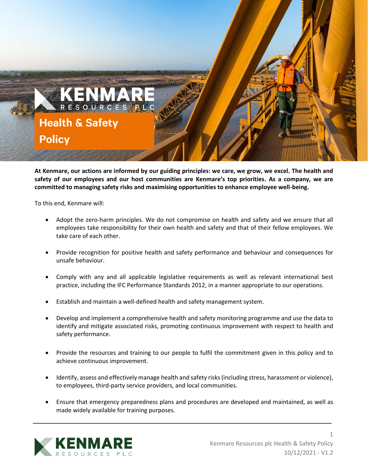

**At Kenmare, our actions are informed by our guiding principles: we care, we grow, we excel. The health and safety of our employees and our host communities are Kenmare's top priorities. As a company, we are committed to managing safety risks and maximising opportunities to enhance employee well-being.**

To this end, Kenmare will:

- Adopt the zero-harm principles. We do not compromise on health and safety and we ensure that all employees take responsibility for their own health and safety and that of their fellow employees. We take care of each other.
- Provide recognition for positive health and safety performance and behaviour and consequences for unsafe behaviour.
- Comply with any and all applicable legislative requirements as well as relevant international best practice, including the IFC Performance Standards 2012, in a manner appropriate to our operations.
- Establish and maintain a well-defined health and safety management system.
- Develop and implement a comprehensive health and safety monitoring programme and use the data to identify and mitigate associated risks, promoting continuous improvement with respect to health and safety performance.
- Provide the resources and training to our people to fulfil the commitment given in this policy and to achieve continuous improvement.
- Identify, assess and effectively manage health and safety risks (including stress, harassment or violence), to employees, third-party service providers, and local communities.
- Ensure that emergency preparedness plans and procedures are developed and maintained, as well as made widely available for training purposes.



1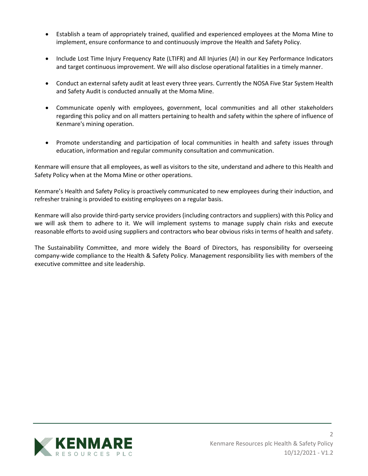- Establish a team of appropriately trained, qualified and experienced employees at the Moma Mine to implement, ensure conformance to and continuously improve the Health and Safety Policy.
- Include Lost Time Injury Frequency Rate (LTIFR) and All Injuries (AI) in our Key Performance Indicators and target continuous improvement. We will also disclose operational fatalities in a timely manner.
- Conduct an external safety audit at least every three years. Currently the NOSA Five Star System Health and Safety Audit is conducted annually at the Moma Mine.
- Communicate openly with employees, government, local communities and all other stakeholders regarding this policy and on all matters pertaining to health and safety within the sphere of influence of Kenmare's mining operation.
- Promote understanding and participation of local communities in health and safety issues through education, information and regular community consultation and communication.

Kenmare will ensure that all employees, as well as visitors to the site, understand and adhere to this Health and Safety Policy when at the Moma Mine or other operations.

Kenmare's Health and Safety Policy is proactively communicated to new employees during their induction, and refresher training is provided to existing employees on a regular basis.

Kenmare will also provide third-party service providers (including contractors and suppliers) with this Policy and we will ask them to adhere to it. We will implement systems to manage supply chain risks and execute reasonable efforts to avoid using suppliers and contractors who bear obvious risks in terms of health and safety.

The Sustainability Committee, and more widely the Board of Directors, has responsibility for overseeing company-wide compliance to the Health & Safety Policy. Management responsibility lies with members of the executive committee and site leadership.



2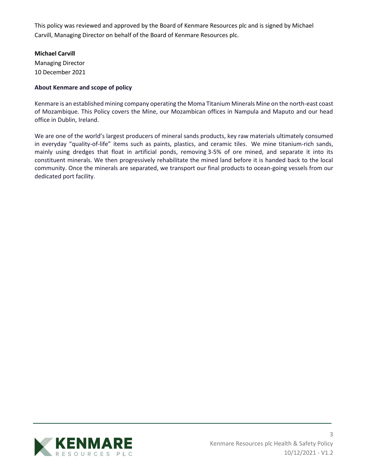This policy was reviewed and approved by the Board of Kenmare Resources plc and is signed by Michael Carvill, Managing Director on behalf of the Board of Kenmare Resources plc.

## **Michael Carvill**

Managing Director 10 December 2021

## **About Kenmare and scope of policy**

Kenmare is an established mining company operating the Moma Titanium Minerals Mine on the north-east coast of Mozambique. This Policy covers the Mine, our Mozambican offices in Nampula and Maputo and our head office in Dublin, Ireland.

We are one of the world's largest producers of mineral sands products, key raw materials ultimately consumed in everyday "quality-of-life" items such as paints, plastics, and ceramic tiles. We mine titanium-rich sands, mainly using dredges that float in artificial ponds, removing 3-5% of ore mined, and separate it into its constituent minerals. We then progressively rehabilitate the mined land before it is handed back to the local community. Once the minerals are separated, we transport our final products to ocean-going vessels from our dedicated port facility.